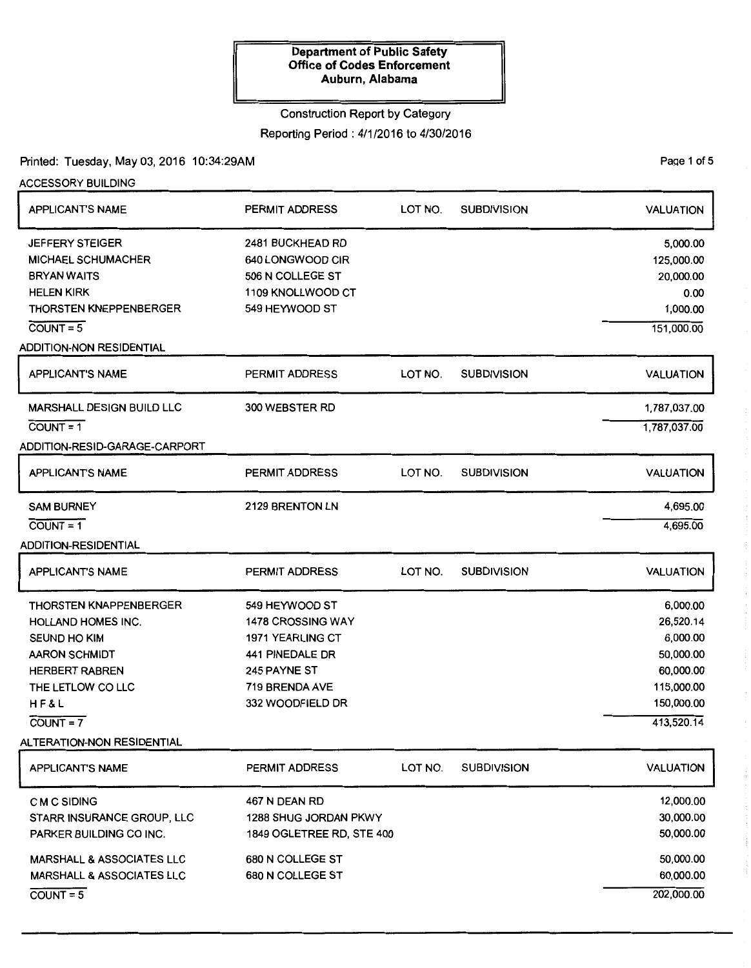# Construction Report by Category

# Reporting Period: 4/1/2016 to 4/30/2016

### Printed: Tuesday, May 03, 2016 10:34:29AM

ACCESSORY BUILDING

| <b>APPLICANT'S NAME</b>              | PERMIT ADDRESS            | LOT NO. | <b>SUBDIVISION</b> | <b>VALUATION</b> |
|--------------------------------------|---------------------------|---------|--------------------|------------------|
| <b>JEFFERY STEIGER</b>               | 2481 BUCKHEAD RD          |         |                    | 5,000.00         |
| <b>MICHAEL SCHUMACHER</b>            | 640 LONGWOOD CIR          |         |                    | 125,000.00       |
| <b>BRYAN WAITS</b>                   | 506 N COLLEGE ST          |         |                    | 20,000.00        |
| <b>HELEN KIRK</b>                    | 1109 KNOLLWOOD CT         |         |                    | 0.00             |
| <b>THORSTEN KNEPPENBERGER</b>        | 549 HEYWOOD ST            |         |                    | 1,000.00         |
| $COUNT = 5$                          |                           |         |                    | 151,000.00       |
| <b>ADDITION-NON RESIDENTIAL</b>      |                           |         |                    |                  |
| <b>APPLICANT'S NAME</b>              | PERMIT ADDRESS            | LOT NO. | <b>SUBDIVISION</b> | <b>VALUATION</b> |
| <b>MARSHALL DESIGN BUILD LLC</b>     | 300 WEBSTER RD            |         |                    | 1,787,037.00     |
| $COUNT = 1$                          |                           |         |                    | 1,787,037.00     |
| ADDITION-RESID-GARAGE-CARPORT        |                           |         |                    |                  |
| <b>APPLICANT'S NAME</b>              | <b>PERMIT ADDRESS</b>     | LOT NO. | <b>SUBDIVISION</b> | <b>VALUATION</b> |
| <b>SAM BURNEY</b>                    | 2129 BRENTON LN           |         |                    | 4,695.00         |
| $COVNT = 1$                          |                           |         |                    | 4,695.00         |
| ADDITION-RESIDENTIAL                 |                           |         |                    |                  |
| <b>APPLICANT'S NAME</b>              | <b>PERMIT ADDRESS</b>     | LOT NO. | <b>SUBDIVISION</b> | <b>VALUATION</b> |
| <b>THORSTEN KNAPPENBERGER</b>        | 549 HEYWOOD ST            |         |                    | 6,000.00         |
| <b>HOLLAND HOMES INC.</b>            | <b>1478 CROSSING WAY</b>  |         |                    | 26,520.14        |
| SEUND HO KIM                         | <b>1971 YEARLING CT</b>   |         |                    | 6,000.00         |
| <b>AARON SCHMIDT</b>                 | <b>441 PINEDALE DR</b>    |         |                    | 50,000.00        |
| <b>HERBERT RABREN</b>                | 245 PAYNE ST              |         |                    | 60,000.00        |
| THE LETLOW CO LLC                    | 719 BRENDA AVE            |         |                    | 115,000.00       |
| HF&L                                 | 332 WOODFIELD DR          |         |                    | 150,000.00       |
| $COUNT = 7$                          |                           |         |                    | 413,520.14       |
| ALTERATION-NON RESIDENTIAL           |                           |         |                    |                  |
| <b>APPLICANT'S NAME</b>              | PERMIT ADDRESS            | LOT NO. | <b>SUBDIVISION</b> | <b>VALUATION</b> |
| C M C SIDING                         | 467 N DEAN RD             |         |                    | 12,000.00        |
| STARR INSURANCE GROUP, LLC           | 1288 SHUG JORDAN PKWY     |         |                    | 30,000.00        |
| PARKER BUILDING CO INC.              | 1849 OGLETREE RD, STE 400 |         |                    | 50,000.00        |
| <b>MARSHALL &amp; ASSOCIATES LLC</b> | 680 N COLLEGE ST          |         |                    | 50,000.00        |
| <b>MARSHALL &amp; ASSOCIATES LLC</b> | 680 N COLLEGE ST          |         |                    | 60,000.00        |
| $COUNT = 5$                          |                           |         |                    | 202,000.00       |

PaQe 1 of 5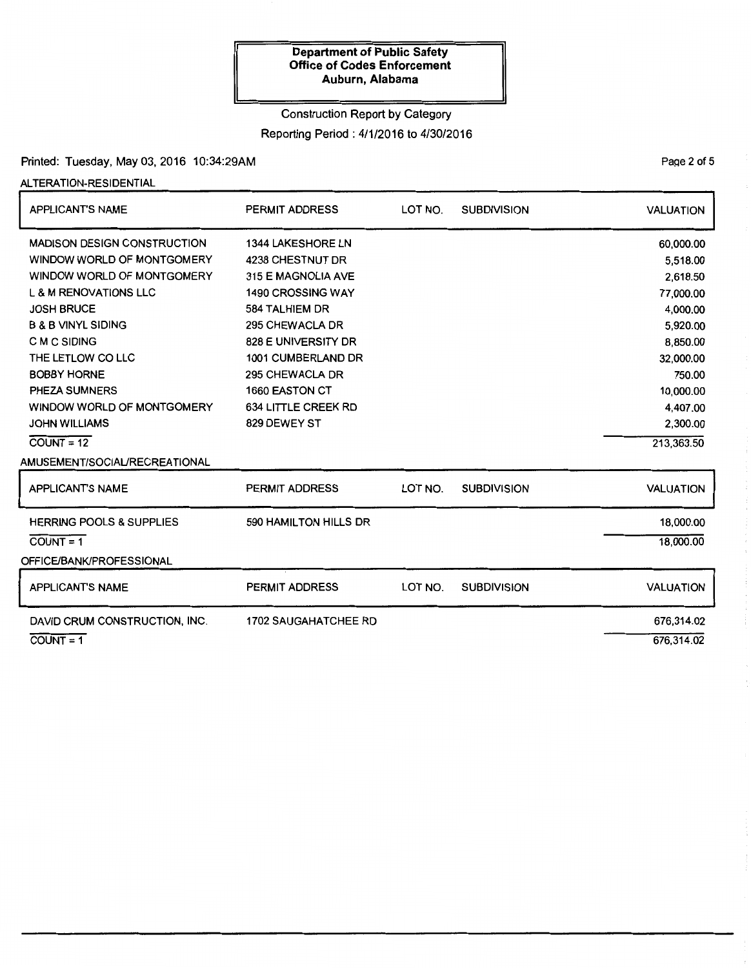### Construction Report by Category

Reporting Period: 4/1/2016 to 4/30/2016

# Printed: Tuesday, May 03, 2016 10:34:29AM

### ALTERATION-RESIDENTIAL

| <b>APPLICANT'S NAME</b>             | <b>PERMIT ADDRESS</b>       | LOT NO. | <b>SUBDIVISION</b> | <b>VALUATION</b> |
|-------------------------------------|-----------------------------|---------|--------------------|------------------|
| <b>MADISON DESIGN CONSTRUCTION</b>  | <b>1344 LAKESHORE LN</b>    |         |                    | 60,000.00        |
| WINDOW WORLD OF MONTGOMERY          | 4238 CHESTNUT DR            |         |                    | 5,518.00         |
| WINDOW WORLD OF MONTGOMERY          | 315 E MAGNOLIA AVE          |         |                    | 2,618.50         |
| <b>L &amp; M RENOVATIONS LLC</b>    | <b>1490 CROSSING WAY</b>    |         |                    | 77,000.00        |
| <b>JOSH BRUCE</b>                   | 584 TALHIEM DR              |         |                    | 4,000.00         |
| <b>B &amp; B VINYL SIDING</b>       | 295 CHEWACLA DR             |         |                    | 5,920.00         |
| C M C SIDING                        | 828 E UNIVERSITY DR         |         |                    | 8,850.00         |
| THE LETLOW CO LLC                   | 1001 CUMBERLAND DR          |         |                    | 32,000.00        |
| <b>BOBBY HORNE</b>                  | 295 CHEWACLA DR             |         |                    | 750.00           |
| PHEZA SUMNERS                       | <b>1660 EASTON CT</b>       |         |                    | 10,000.00        |
| WINDOW WORLD OF MONTGOMERY          | 634 LITTLE CREEK RD         |         |                    | 4,407.00         |
| <b>JOHN WILLIAMS</b>                | 829 DEWEY ST                |         |                    | 2,300.00         |
| $\overline{COUNT} = 12$             |                             |         |                    | 213,363.50       |
| AMUSEMENT/SOCIAL/RECREATIONAL       |                             |         |                    |                  |
| <b>APPLICANT'S NAME</b>             | <b>PERMIT ADDRESS</b>       | LOT NO. | <b>SUBDIVISION</b> | <b>VALUATION</b> |
| <b>HERRING POOLS &amp; SUPPLIES</b> | 590 HAMILTON HILLS DR       |         |                    | 18,000.00        |
| $COUNT = 1$                         |                             |         |                    | 18,000.00        |
| OFFICE/BANK/PROFESSIONAL            |                             |         |                    |                  |
| <b>APPLICANT'S NAME</b>             | <b>PERMIT ADDRESS</b>       | LOT NO. | <b>SUBDIVISION</b> | <b>VALUATION</b> |
| DAVID CRUM CONSTRUCTION, INC.       | <b>1702 SAUGAHATCHEE RD</b> |         |                    | 676,314.02       |
| $COUNT = 1$                         |                             |         |                    | 676,314.02       |

PaQe 2 of 5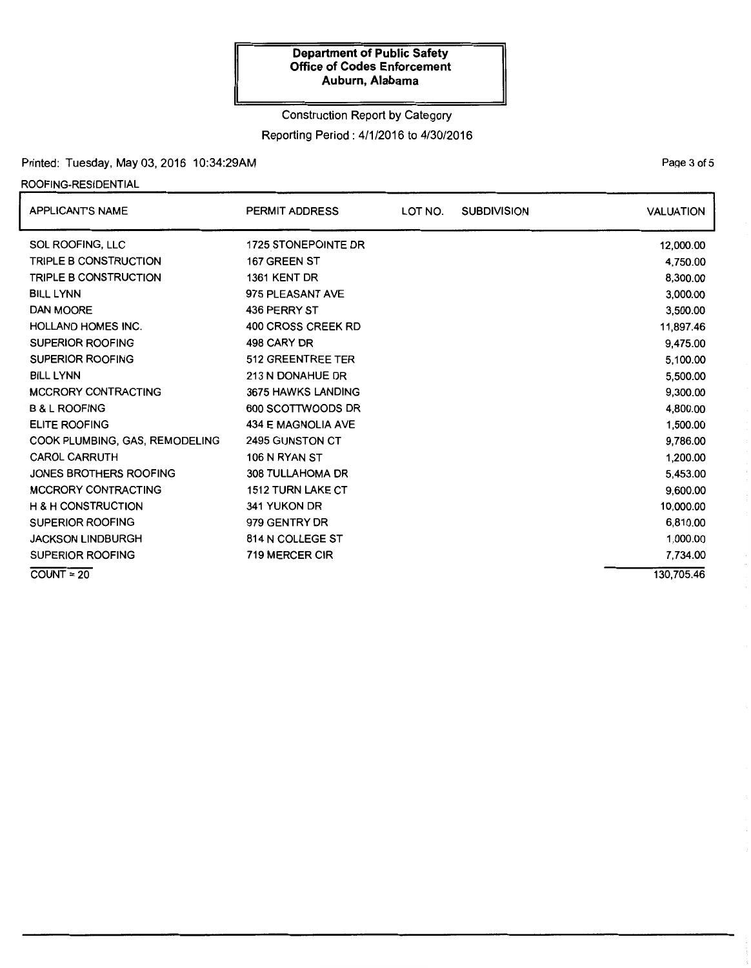# Construction Report by Category Reporting Period: 4/1/2016 to 4/30/2016

### Printed: Tuesday, May 03, 2016 10:34:29AM

### ROOFING-RESIDENTIAL

| <b>APPLICANT'S NAME</b>        | <b>PERMIT ADDRESS</b>    | LOT NO. | <b>SUBDIVISION</b> | <b>VALUATION</b> |
|--------------------------------|--------------------------|---------|--------------------|------------------|
| SOL ROOFING, LLC               | 1725 STONEPOINTE DR      |         |                    | 12,000.00        |
| TRIPLE B CONSTRUCTION          | 167 GREEN ST             |         |                    | 4,750.00         |
| TRIPLE B CONSTRUCTION          | 1361 KENT DR             |         |                    | 8,300.00         |
| <b>BILL LYNN</b>               | 975 PLEASANT AVE         |         |                    | 3,000.00         |
| <b>DAN MOORE</b>               | 436 PERRY ST             |         |                    | 3,500.00         |
| <b>HOLLAND HOMES INC.</b>      | 400 CROSS CREEK RD       |         |                    | 11,897.46        |
| <b>SUPERIOR ROOFING</b>        | 498 CARY DR              |         |                    | 9,475.00         |
| <b>SUPERIOR ROOFING</b>        | 512 GREENTREE TER        |         |                    | 5,100.00         |
| <b>BILL LYNN</b>               | 213 N DONAHUE DR         |         |                    | 5,500.00         |
| <b>MCCRORY CONTRACTING</b>     | 3675 HAWKS LANDING       |         |                    | 9,300.00         |
| <b>B &amp; L ROOFING</b>       | 600 SCOTTWOODS DR        |         |                    | 4,800.00         |
| <b>ELITE ROOFING</b>           | 434 E MAGNOLIA AVE       |         |                    | 1,500.00         |
| COOK PLUMBING, GAS, REMODELING | 2495 GUNSTON CT          |         |                    | 9,786.00         |
| <b>CAROL CARRUTH</b>           | 106 N RYAN ST            |         |                    | 1,200.00         |
| <b>JONES BROTHERS ROOFING</b>  | <b>308 TULLAHOMA DR</b>  |         |                    | 5.453.00         |
| <b>MCCRORY CONTRACTING</b>     | <b>1512 TURN LAKE CT</b> |         |                    | 9,600.00         |
| <b>H &amp; H CONSTRUCTION</b>  | 341 YUKON DR             |         |                    | 10,000.00        |
| <b>SUPERIOR ROOFING</b>        | 979 GENTRY DR            |         |                    | 6,810.00         |
| <b>JACKSON LINDBURGH</b>       | 814 N COLLEGE ST         |         |                    | 1,000.00         |
| <b>SUPERIOR ROOFING</b>        | <b>719 MERCER CIR</b>    |         |                    | 7,734.00         |
| $COUNT = 20$                   |                          |         |                    | 130,705.46       |

PaQe 3 of 5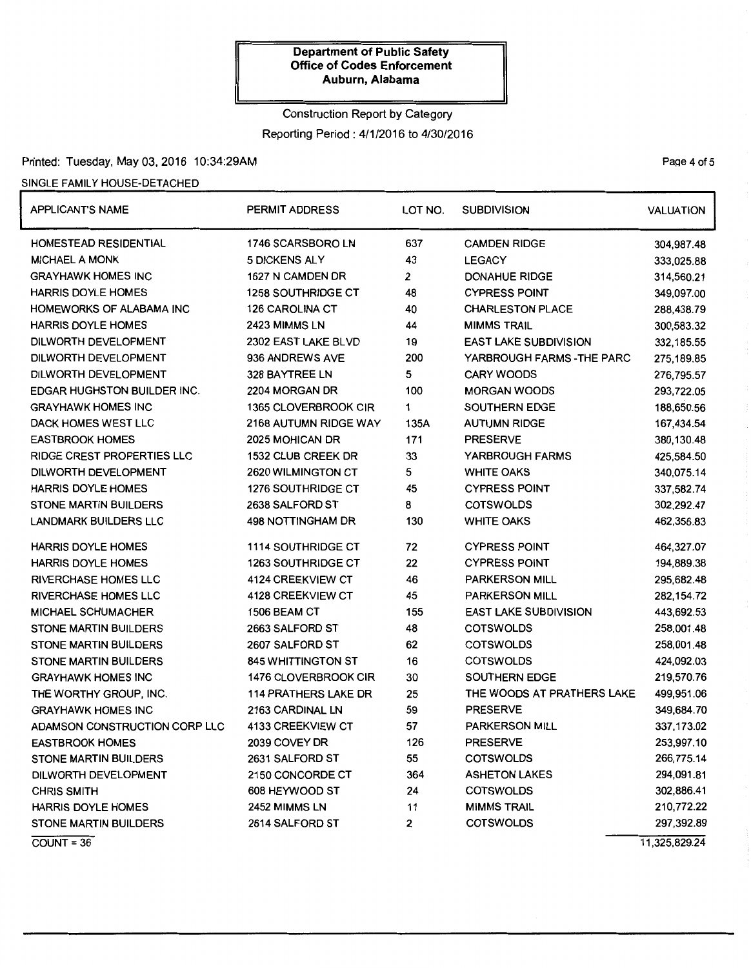# Construction Report by Category Reporting Period : 4/1/2016 to 4/30/2016

# Printed: Tuesday, May 03, 2016 10:34:29AM

### SINGLE FAMILY HOUSE-DETACHED

| <b>APPLICANT'S NAME</b>           | <b>PERMIT ADDRESS</b>       | LOT NO. | <b>SUBDIVISION</b>           | <b>VALUATION</b> |
|-----------------------------------|-----------------------------|---------|------------------------------|------------------|
| HOMESTEAD RESIDENTIAL             | 1746 SCARSBORO LN           | 637     | <b>CAMDEN RIDGE</b>          | 304,987.48       |
| <b>MICHAEL A MONK</b>             | 5 DICKENS ALY               | 43      | <b>LEGACY</b>                | 333,025.88       |
| <b>GRAYHAWK HOMES INC</b>         | 1627 N CAMDEN DR            | 2       | <b>DONAHUE RIDGE</b>         | 314,560.21       |
| <b>HARRIS DOYLE HOMES</b>         | <b>1258 SOUTHRIDGE CT</b>   | 48      | <b>CYPRESS POINT</b>         | 349,097.00       |
| HOMEWORKS OF ALABAMA INC          | <b>126 CAROLINA CT</b>      | 40      | <b>CHARLESTON PLACE</b>      | 288,438.79       |
| <b>HARRIS DOYLE HOMES</b>         | 2423 MIMMS LN               | 44      | <b>MIMMS TRAIL</b>           | 300,583.32       |
| DILWORTH DEVELOPMENT              | 2302 EAST LAKE BLVD         | 19      | <b>EAST LAKE SUBDIVISION</b> | 332,185.55       |
| DILWORTH DEVELOPMENT              | 936 ANDREWS AVE             | 200     | YARBROUGH FARMS - THE PARC   | 275,189.85       |
| DILWORTH DEVELOPMENT              | 328 BAYTREE LN              | 5       | <b>CARY WOODS</b>            | 276,795.57       |
| EDGAR HUGHSTON BUILDER INC.       | 2204 MORGAN DR              | 100     | <b>MORGAN WOODS</b>          | 293,722.05       |
| <b>GRAYHAWK HOMES INC</b>         | 1365 CLOVERBROOK CIR        | 1       | SOUTHERN EDGE                | 188,650.56       |
| DACK HOMES WEST LLC               | 2168 AUTUMN RIDGE WAY       | 135A    | <b>AUTUMN RIDGE</b>          | 167,434.54       |
| <b>EASTBROOK HOMES</b>            | 2025 MOHICAN DR             | 171     | <b>PRESERVE</b>              | 380,130.48       |
| <b>RIDGE CREST PROPERTIES LLC</b> | 1532 CLUB CREEK DR          | 33      | YARBROUGH FARMS              | 425,584.50       |
| DILWORTH DEVELOPMENT              | 2620 WILMINGTON CT          | 5       | <b>WHITE OAKS</b>            | 340,075.14       |
| HARRIS DOYLE HOMES                | <b>1276 SOUTHRIDGE CT</b>   | 45      | <b>CYPRESS POINT</b>         | 337,582.74       |
| <b>STONE MARTIN BUILDERS</b>      | 2638 SALFORD ST             | 8       | <b>COTSWOLDS</b>             | 302,292.47       |
| <b>LANDMARK BUILDERS LLC</b>      | 498 NOTTINGHAM DR           | 130     | <b>WHITE OAKS</b>            | 462,356.83       |
| <b>HARRIS DOYLE HOMES</b>         | <b>1114 SOUTHRIDGE CT</b>   | 72      | <b>CYPRESS POINT</b>         | 464,327.07       |
| <b>HARRIS DOYLE HOMES</b>         | <b>1263 SOUTHRIDGE CT</b>   | 22      | <b>CYPRESS POINT</b>         | 194,889.38       |
| <b>RIVERCHASE HOMES LLC</b>       | 4124 CREEKVIEW CT           | 46      | <b>PARKERSON MILL</b>        | 295,682.48       |
| <b>RIVERCHASE HOMES LLC</b>       | 4128 CREEKVIEW CT           | 45      | <b>PARKERSON MILL</b>        | 282,154.72       |
| <b>MICHAEL SCHUMACHER</b>         | 1506 BEAM CT                | 155     | <b>EAST LAKE SUBDIVISION</b> | 443,692.53       |
| STONE MARTIN BUILDERS             | 2663 SALFORD ST             | 48      | <b>COTSWOLDS</b>             | 258,001.48       |
| <b>STONE MARTIN BUILDERS</b>      | 2607 SALFORD ST             | 62      | <b>COTSWOLDS</b>             | 258,001.48       |
| <b>STONE MARTIN BUILDERS</b>      | <b>845 WHITTINGTON ST</b>   | 16      | <b>COTSWOLDS</b>             | 424,092.03       |
| <b>GRAYHAWK HOMES INC</b>         | 1476 CLOVERBROOK CIR        | 30      | SOUTHERN EDGE                | 219,570.76       |
| THE WORTHY GROUP, INC.            | <b>114 PRATHERS LAKE DR</b> | 25      | THE WOODS AT PRATHERS LAKE   | 499,951.06       |
| <b>GRAYHAWK HOMES INC</b>         | 2163 CARDINAL LN            | 59      | <b>PRESERVE</b>              | 349,684.70       |
| ADAMSON CONSTRUCTION CORP LLC     | 4133 CREEKVIEW CT           | 57      | <b>PARKERSON MILL</b>        | 337,173.02       |
| <b>EASTBROOK HOMES</b>            | 2039 COVEY DR               | 126     | <b>PRESERVE</b>              | 253,997.10       |
| <b>STONE MARTIN BUILDERS</b>      | 2631 SALFORD ST             | 55      | <b>COTSWOLDS</b>             | 266,775.14       |
| DILWORTH DEVELOPMENT              | 2150 CONCORDE CT            | 364     | <b>ASHETON LAKES</b>         | 294,091.81       |
| <b>CHRIS SMITH</b>                | 608 HEYWOOD ST              | 24      | <b>COTSWOLDS</b>             | 302,886.41       |
| <b>HARRIS DOYLE HOMES</b>         | 2452 MIMMS LN               | 11      | <b>MIMMS TRAIL</b>           | 210,772.22       |
| <b>STONE MARTIN BUILDERS</b>      | 2614 SALFORD ST             | 2       | <b>COTSWOLDS</b>             | 297,392.89       |
| $COUNT = 36$                      |                             |         |                              | 11,325,829.24    |

PaQe 4 of 5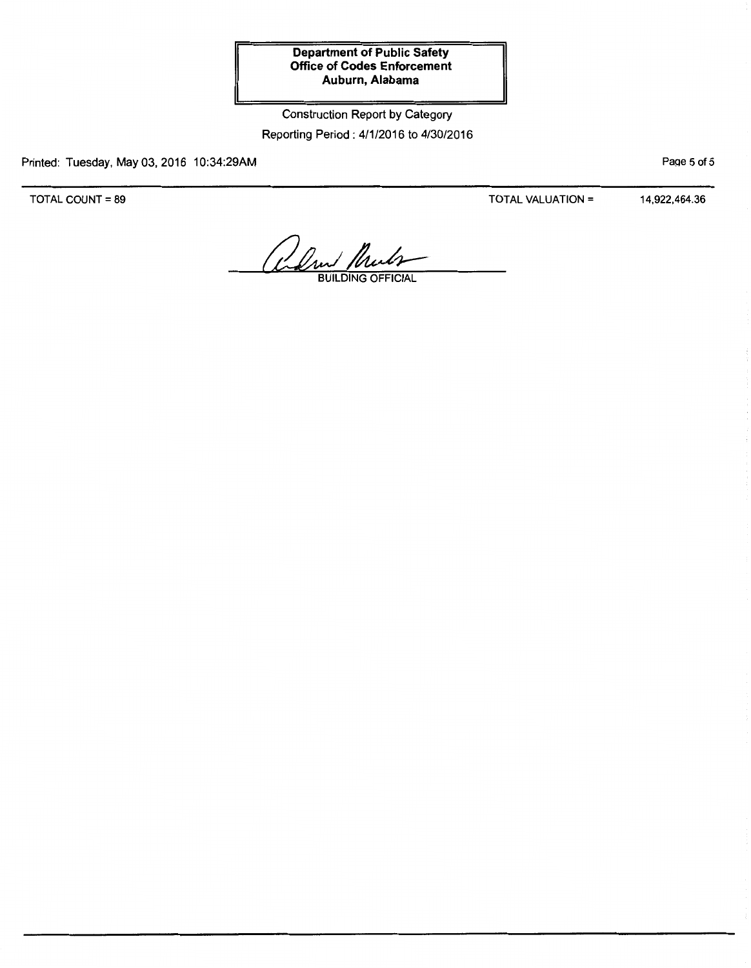# Construction Report by Category Reporting Period: 4/1/2016 to 4/30/2016

Printed: Tuesday, May 03, 2016 10:34:29AM

TOTAL COUNT= 89

TOTAL VALUATION= 14,922,464.36

PaQe 5 of 5

alm Muls

BUILDING OFFICIAL